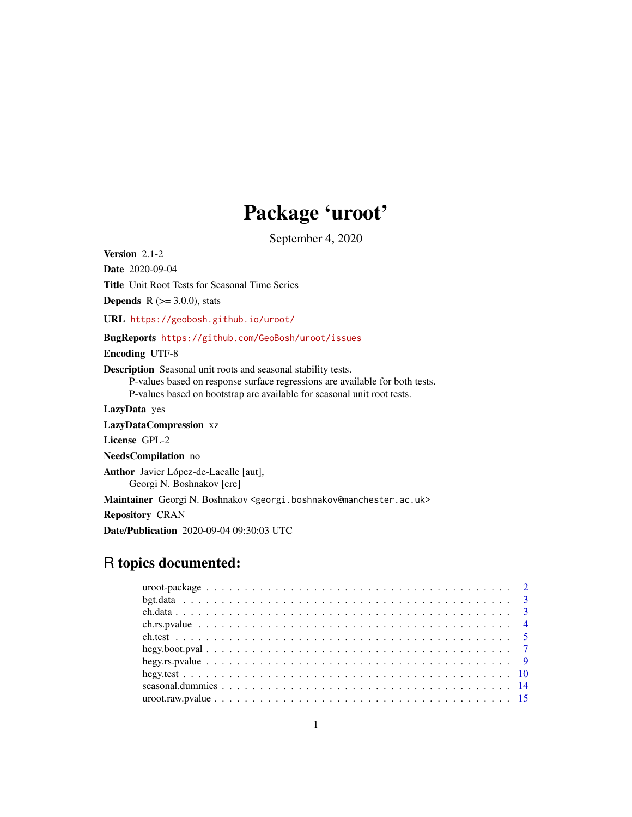## Package 'uroot'

September 4, 2020

<span id="page-0-0"></span>Version 2.1-2 Date 2020-09-04 Title Unit Root Tests for Seasonal Time Series **Depends** R  $(>= 3.0.0)$ , stats URL <https://geobosh.github.io/uroot/> BugReports <https://github.com/GeoBosh/uroot/issues> Encoding UTF-8 Description Seasonal unit roots and seasonal stability tests. P-values based on response surface regressions are available for both tests. P-values based on bootstrap are available for seasonal unit root tests. LazyData yes LazyDataCompression xz License GPL-2 NeedsCompilation no Author Javier López-de-Lacalle [aut], Georgi N. Boshnakov [cre] Maintainer Georgi N. Boshnakov <georgi.boshnakov@manchester.ac.uk> Repository CRAN Date/Publication 2020-09-04 09:30:03 UTC

## R topics documented:

| hegy.rs. pvalue $\ldots \ldots \ldots \ldots \ldots \ldots \ldots \ldots \ldots \ldots \ldots \ldots \ldots$ |  |  |  |  |  |  |  |  |  |  |  |  |  |  |  |  |  |  |  |  |
|--------------------------------------------------------------------------------------------------------------|--|--|--|--|--|--|--|--|--|--|--|--|--|--|--|--|--|--|--|--|
|                                                                                                              |  |  |  |  |  |  |  |  |  |  |  |  |  |  |  |  |  |  |  |  |
|                                                                                                              |  |  |  |  |  |  |  |  |  |  |  |  |  |  |  |  |  |  |  |  |
|                                                                                                              |  |  |  |  |  |  |  |  |  |  |  |  |  |  |  |  |  |  |  |  |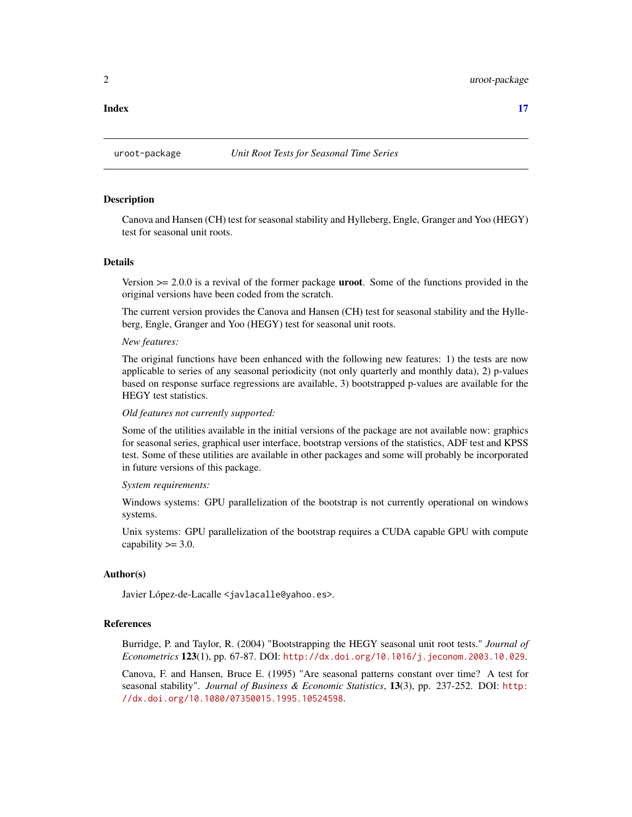## Description

Canova and Hansen (CH) test for seasonal stability and Hylleberg, Engle, Granger and Yoo (HEGY) test for seasonal unit roots.

## Details

Version  $\geq 2.0.0$  is a revival of the former package **uroot**. Some of the functions provided in the original versions have been coded from the scratch.

The current version provides the Canova and Hansen (CH) test for seasonal stability and the Hylleberg, Engle, Granger and Yoo (HEGY) test for seasonal unit roots.

## *New features:*

The original functions have been enhanced with the following new features: 1) the tests are now applicable to series of any seasonal periodicity (not only quarterly and monthly data), 2) p-values based on response surface regressions are available, 3) bootstrapped p-values are available for the HEGY test statistics.

#### *Old features not currently supported:*

Some of the utilities available in the initial versions of the package are not available now: graphics for seasonal series, graphical user interface, bootstrap versions of the statistics, ADF test and KPSS test. Some of these utilities are available in other packages and some will probably be incorporated in future versions of this package.

## *System requirements:*

Windows systems: GPU parallelization of the bootstrap is not currently operational on windows systems.

Unix systems: GPU parallelization of the bootstrap requires a CUDA capable GPU with compute capability  $\geq$  3.0.

## Author(s)

Javier López-de-Lacalle <javlacalle@yahoo.es>.

#### References

Burridge, P. and Taylor, R. (2004) "Bootstrapping the HEGY seasonal unit root tests." *Journal of Econometrics* 123(1), pp. 67-87. DOI: <http://dx.doi.org/10.1016/j.jeconom.2003.10.029>.

Canova, F. and Hansen, Bruce E. (1995) "Are seasonal patterns constant over time? A test for seasonal stability". *Journal of Business & Economic Statistics*, 13(3), pp. 237-252. DOI: [http:](http://dx.doi.org/10.1080/07350015.1995.10524598) [//dx.doi.org/10.1080/07350015.1995.10524598](http://dx.doi.org/10.1080/07350015.1995.10524598).

#### <span id="page-1-0"></span>**Index** [17](#page-16-0)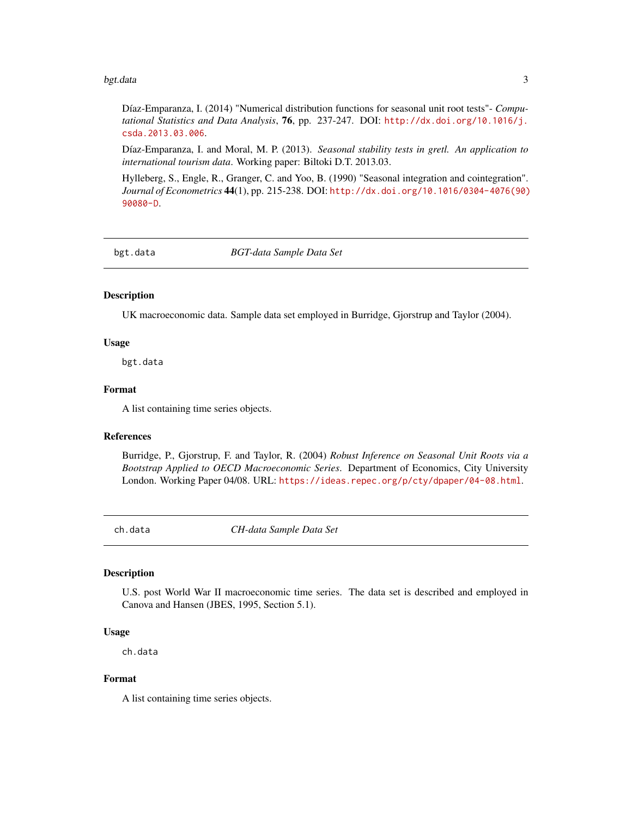#### <span id="page-2-0"></span>bgt.data 3

Díaz-Emparanza, I. (2014) "Numerical distribution functions for seasonal unit root tests"- *Computational Statistics and Data Analysis*, 76, pp. 237-247. DOI: [http://dx.doi.org/10.1016/j.](http://dx.doi.org/10.1016/j.csda.2013.03.006) [csda.2013.03.006](http://dx.doi.org/10.1016/j.csda.2013.03.006).

Díaz-Emparanza, I. and Moral, M. P. (2013). *Seasonal stability tests in gretl. An application to international tourism data*. Working paper: Biltoki D.T. 2013.03.

Hylleberg, S., Engle, R., Granger, C. and Yoo, B. (1990) "Seasonal integration and cointegration". *Journal of Econometrics* 44(1), pp. 215-238. DOI: [http://dx.doi.org/10.1016/0304-4076\(90\)](http://dx.doi.org/10.1016/0304-4076(90)90080-D) [90080-D](http://dx.doi.org/10.1016/0304-4076(90)90080-D).

bgt.data *BGT-data Sample Data Set*

## Description

UK macroeconomic data. Sample data set employed in Burridge, Gjorstrup and Taylor (2004).

#### Usage

bgt.data

## Format

A list containing time series objects.

## References

Burridge, P., Gjorstrup, F. and Taylor, R. (2004) *Robust Inference on Seasonal Unit Roots via a Bootstrap Applied to OECD Macroeconomic Series*. Department of Economics, City University London. Working Paper 04/08. URL: <https://ideas.repec.org/p/cty/dpaper/04-08.html>.

ch.data *CH-data Sample Data Set*

## Description

U.S. post World War II macroeconomic time series. The data set is described and employed in Canova and Hansen (JBES, 1995, Section 5.1).

## Usage

ch.data

## Format

A list containing time series objects.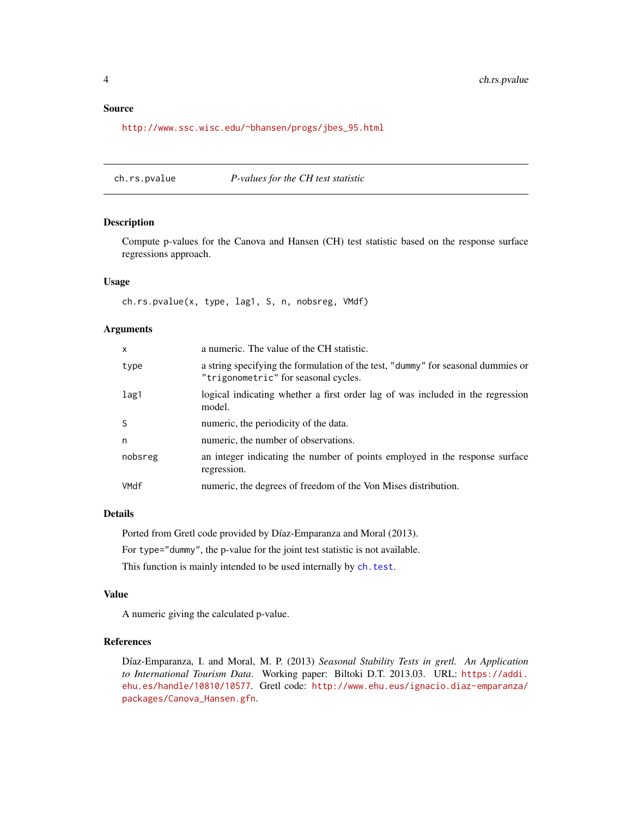## <span id="page-3-0"></span>Source

[http://www.ssc.wisc.edu/~bhansen/progs/jbes\\_95.html](http://www.ssc.wisc.edu/~bhansen/progs/jbes_95.html)

<span id="page-3-1"></span>ch.rs.pvalue *P-values for the CH test statistic*

## Description

Compute p-values for the Canova and Hansen (CH) test statistic based on the response surface regressions approach.

## Usage

ch.rs.pvalue(x, type, lag1, S, n, nobsreg, VMdf)

## Arguments

| X       | a numeric. The value of the CH statistic.                                                                                |
|---------|--------------------------------------------------------------------------------------------------------------------------|
| type    | a string specifying the formulation of the test, "dummy" for seasonal dummies or<br>"trigonometric" for seasonal cycles. |
| lag1    | logical indicating whether a first order lag of was included in the regression<br>model.                                 |
| S       | numeric, the periodicity of the data.                                                                                    |
| n       | numeric, the number of observations.                                                                                     |
| nobsreg | an integer indicating the number of points employed in the response surface<br>regression.                               |
| VMdf    | numeric, the degrees of freedom of the Von Mises distribution.                                                           |

## Details

Ported from Gretl code provided by Díaz-Emparanza and Moral (2013).

For type="dummy", the p-value for the joint test statistic is not available.

This function is mainly intended to be used internally by [ch.test](#page-4-1).

## Value

A numeric giving the calculated p-value.

## References

Díaz-Emparanza, I. and Moral, M. P. (2013) *Seasonal Stability Tests in gretl. An Application to International Tourism Data*. Working paper: Biltoki D.T. 2013.03. URL: [https://addi.](https://addi.ehu.es/handle/10810/10577) [ehu.es/handle/10810/10577](https://addi.ehu.es/handle/10810/10577). Gretl code: [http://www.ehu.eus/ignacio.diaz-emparanza/](http://www.ehu.eus/ignacio.diaz-emparanza/packages/Canova_Hansen.gfn) [packages/Canova\\_Hansen.gfn](http://www.ehu.eus/ignacio.diaz-emparanza/packages/Canova_Hansen.gfn).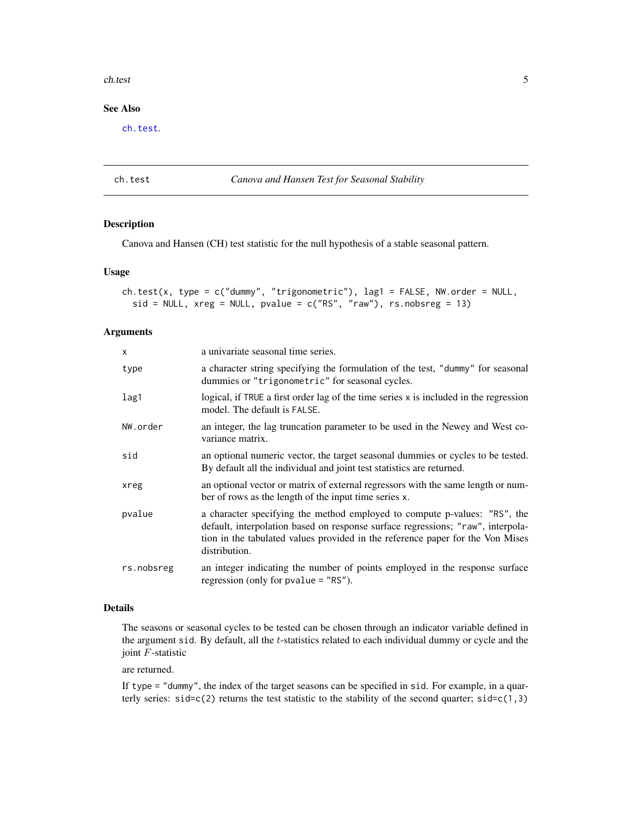#### <span id="page-4-0"></span>ch.test 5

## See Also

[ch.test](#page-4-1).

#### <span id="page-4-1"></span>ch.test *Canova and Hansen Test for Seasonal Stability*

## Description

Canova and Hansen (CH) test statistic for the null hypothesis of a stable seasonal pattern.

## Usage

```
ch.test(x, type = c("dummy", "trigonometric"), lag1 = FALSE, NW.order = NULL,
  sid = NULL, xreg = NULL, pvalue = c("RS", "raw"), rs.nobsreg = 13)
```
## Arguments

| $\mathsf{x}$ | a univariate seasonal time series.                                                                                                                                                                                                                              |
|--------------|-----------------------------------------------------------------------------------------------------------------------------------------------------------------------------------------------------------------------------------------------------------------|
| type         | a character string specifying the formulation of the test, "dummy" for seasonal<br>dummies or "trigonometric" for seasonal cycles.                                                                                                                              |
| lag1         | logical, if TRUE a first order lag of the time series x is included in the regression<br>model. The default is FALSE.                                                                                                                                           |
| NW.order     | an integer, the lag truncation parameter to be used in the Newey and West co-<br>variance matrix.                                                                                                                                                               |
| sid          | an optional numeric vector, the target seasonal dummies or cycles to be tested.<br>By default all the individual and joint test statistics are returned.                                                                                                        |
| xreg         | an optional vector or matrix of external regressors with the same length or num-<br>ber of rows as the length of the input time series x.                                                                                                                       |
| pvalue       | a character specifying the method employed to compute p-values: "RS", the<br>default, interpolation based on response surface regressions; "raw", interpola-<br>tion in the tabulated values provided in the reference paper for the Von Mises<br>distribution. |
| rs.nobsreg   | an integer indicating the number of points employed in the response surface<br>regression (only for $pvalue = "RS"$ ).                                                                                                                                          |

## Details

The seasons or seasonal cycles to be tested can be chosen through an indicator variable defined in the argument sid. By default, all the t-statistics related to each individual dummy or cycle and the joint F-statistic

are returned.

If type = "dummy", the index of the target seasons can be specified in sid. For example, in a quarterly series:  $sid = c(2)$  returns the test statistic to the stability of the second quarter;  $sid = c(1,3)$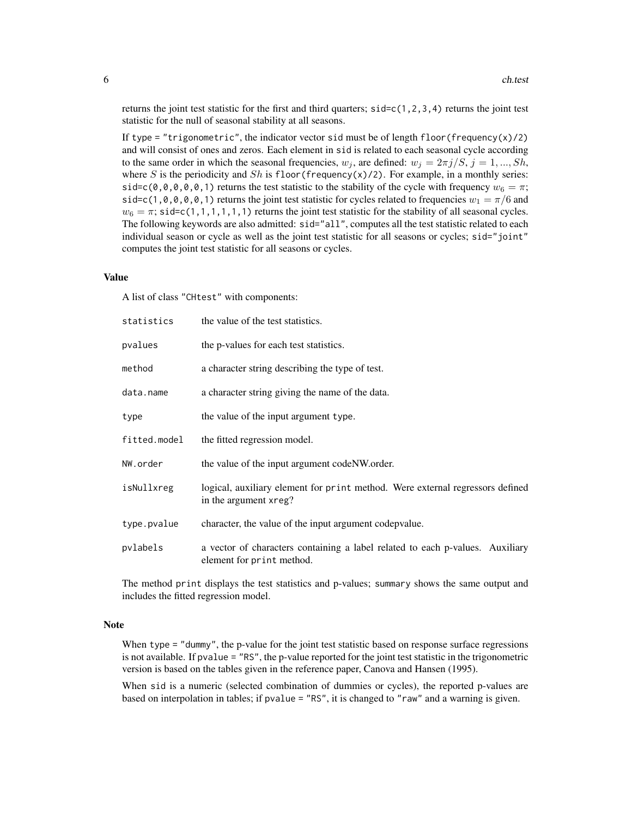returns the joint test statistic for the first and third quarters;  $sidec(1,2,3,4)$  returns the joint test statistic for the null of seasonal stability at all seasons.

If type = "trigonometric", the indicator vector sid must be of length floor(frequency(x)/2) and will consist of ones and zeros. Each element in sid is related to each seasonal cycle according to the same order in which the seasonal frequencies,  $w_j$ , are defined:  $w_j = 2\pi j/S$ ,  $j = 1, ..., Sh$ , where S is the periodicity and Sh is floor (frequency(x)/2). For example, in a monthly series: sid=c(0,0,0,0,0,1) returns the test statistic to the stability of the cycle with frequency  $w_6 = \pi$ ; sid=c(1,0,0,0,0,1) returns the joint test statistic for cycles related to frequencies  $w_1 = \pi/6$  and  $w_6 = \pi$ ; sid=c(1,1,1,1,1,1) returns the joint test statistic for the stability of all seasonal cycles. The following keywords are also admitted: sid="all", computes all the test statistic related to each individual season or cycle as well as the joint test statistic for all seasons or cycles; sid="joint" computes the joint test statistic for all seasons or cycles.

#### Value

A list of class "CHtest" with components:

| statistics   | the value of the test statistics.                                                                          |
|--------------|------------------------------------------------------------------------------------------------------------|
| pvalues      | the p-values for each test statistics.                                                                     |
| method       | a character string describing the type of test.                                                            |
| data.name    | a character string giving the name of the data.                                                            |
| type         | the value of the input argument type.                                                                      |
| fitted.model | the fitted regression model.                                                                               |
| NW.order     | the value of the input argument code NW order.                                                             |
| isNullxreg   | logical, auxiliary element for print method. Were external regressors defined<br>in the argument xreg?     |
| type.pvalue  | character, the value of the input argument codepvalue.                                                     |
| pvlabels     | a vector of characters containing a label related to each p-values. Auxiliary<br>element for print method. |

The method print displays the test statistics and p-values; summary shows the same output and includes the fitted regression model.

## Note

When type = "dummy", the p-value for the joint test statistic based on response surface regressions is not available. If pvalue = "RS", the p-value reported for the joint test statistic in the trigonometric version is based on the tables given in the reference paper, Canova and Hansen (1995).

When sid is a numeric (selected combination of dummies or cycles), the reported p-values are based on interpolation in tables; if pvalue = "RS", it is changed to "raw" and a warning is given.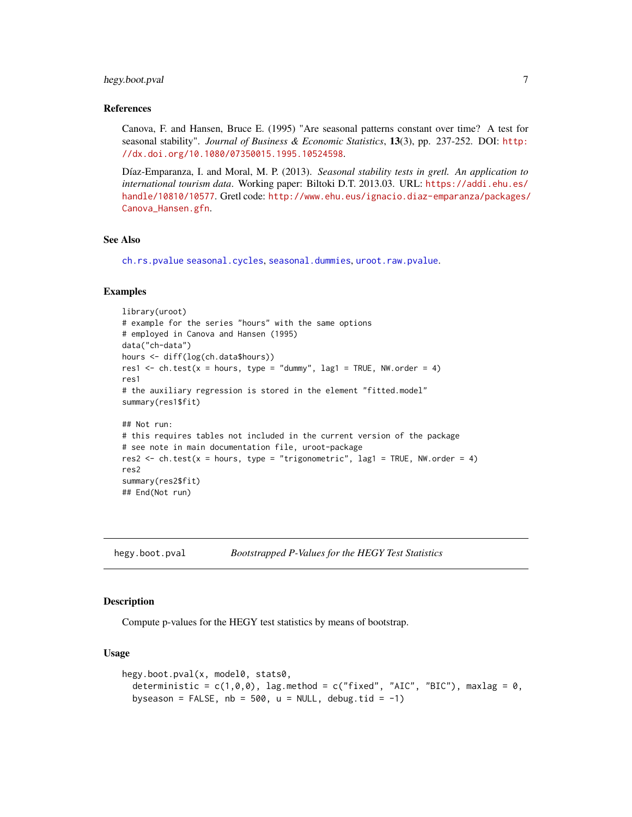## <span id="page-6-0"></span>hegy.boot.pval 7

#### References

Canova, F. and Hansen, Bruce E. (1995) "Are seasonal patterns constant over time? A test for seasonal stability". *Journal of Business & Economic Statistics*, 13(3), pp. 237-252. DOI: [http:](http://dx.doi.org/10.1080/07350015.1995.10524598) [//dx.doi.org/10.1080/07350015.1995.10524598](http://dx.doi.org/10.1080/07350015.1995.10524598).

Díaz-Emparanza, I. and Moral, M. P. (2013). *Seasonal stability tests in gretl. An application to international tourism data*. Working paper: Biltoki D.T. 2013.03. URL: [https://addi.ehu.es/](https://addi.ehu.es/handle/10810/10577) [handle/10810/10577](https://addi.ehu.es/handle/10810/10577). Gretl code: [http://www.ehu.eus/ignacio.diaz-emparanza/packages/](http://www.ehu.eus/ignacio.diaz-emparanza/packages/Canova_Hansen.gfn) [Canova\\_Hansen.gfn](http://www.ehu.eus/ignacio.diaz-emparanza/packages/Canova_Hansen.gfn).

#### See Also

[ch.rs.pvalue](#page-3-1) [seasonal.cycles](#page-13-1), [seasonal.dummies](#page-13-2), [uroot.raw.pvalue](#page-14-1).

#### Examples

```
library(uroot)
# example for the series "hours" with the same options
# employed in Canova and Hansen (1995)
data("ch-data")
hours <- diff(log(ch.data$hours))
res1 \le ch.test(x = hours, type = "dummy", lag1 = TRUE, NW.order = 4)
res1
# the auxiliary regression is stored in the element "fitted.model"
summary(res1$fit)
## Not run:
# this requires tables not included in the current version of the package
# see note in main documentation file, uroot-package
res2 <- ch.test(x = hours, type = "trigonometric", lag1 = TRUE, NW.order = 4)
res2
summary(res2$fit)
## End(Not run)
```
hegy.boot.pval *Bootstrapped P-Values for the HEGY Test Statistics*

## Description

Compute p-values for the HEGY test statistics by means of bootstrap.

## Usage

```
hegy.boot.pval(x, model0, stats0,
  deterministic = c(1,0,0), lag.method = c("fixed", "AIC", "BIC"), maxlag = 0,byseason = FALSE, nb = 500, u = NULL, debug.tid = -1)
```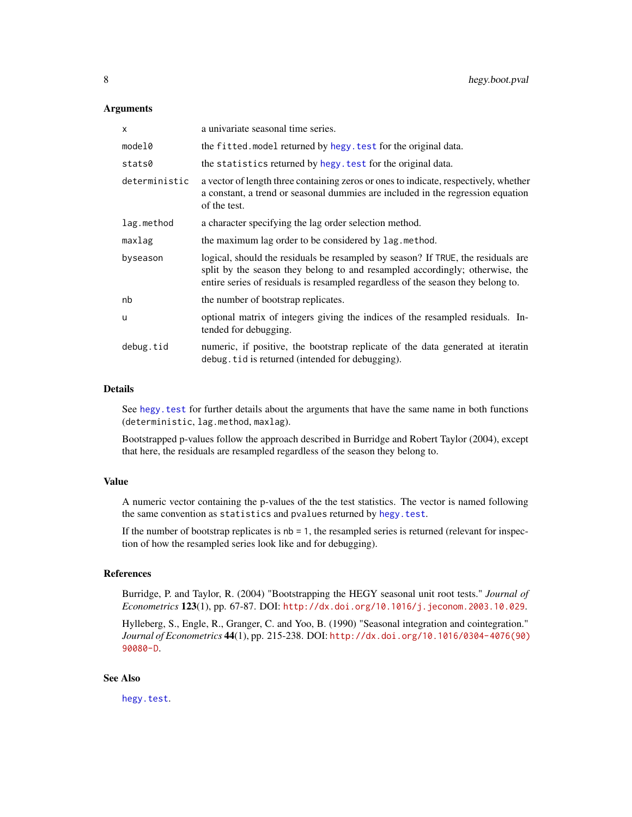#### <span id="page-7-0"></span>Arguments

| x             | a univariate seasonal time series.                                                                                                                                                                                                                   |
|---------------|------------------------------------------------------------------------------------------------------------------------------------------------------------------------------------------------------------------------------------------------------|
| model0        | the fitted. model returned by hegy. test for the original data.                                                                                                                                                                                      |
| stats0        | the statistics returned by hegy. test for the original data.                                                                                                                                                                                         |
| deterministic | a vector of length three containing zeros or ones to indicate, respectively, whether<br>a constant, a trend or seasonal dummies are included in the regression equation<br>of the test.                                                              |
| lag.method    | a character specifying the lag order selection method.                                                                                                                                                                                               |
| maxlag        | the maximum lag order to be considered by lag method.                                                                                                                                                                                                |
| byseason      | logical, should the residuals be resampled by season? If TRUE, the residuals are<br>split by the season they belong to and resampled accordingly; otherwise, the<br>entire series of residuals is resampled regardless of the season they belong to. |
| nb            | the number of bootstrap replicates.                                                                                                                                                                                                                  |
| u             | optional matrix of integers giving the indices of the resampled residuals. In-<br>tended for debugging.                                                                                                                                              |
| debug.tid     | numeric, if positive, the bootstrap replicate of the data generated at iteratin<br>debug. tid is returned (intended for debugging).                                                                                                                  |

#### Details

See hegy. test for further details about the arguments that have the same name in both functions (deterministic, lag.method, maxlag).

Bootstrapped p-values follow the approach described in Burridge and Robert Taylor (2004), except that here, the residuals are resampled regardless of the season they belong to.

## Value

A numeric vector containing the p-values of the the test statistics. The vector is named following the same convention as statistics and pvalues returned by [hegy.test](#page-9-1).

If the number of bootstrap replicates is  $nb = 1$ , the resampled series is returned (relevant for inspection of how the resampled series look like and for debugging).

## References

Burridge, P. and Taylor, R. (2004) "Bootstrapping the HEGY seasonal unit root tests." *Journal of Econometrics* 123(1), pp. 67-87. DOI: <http://dx.doi.org/10.1016/j.jeconom.2003.10.029>.

Hylleberg, S., Engle, R., Granger, C. and Yoo, B. (1990) "Seasonal integration and cointegration." *Journal of Econometrics* 44(1), pp. 215-238. DOI: [http://dx.doi.org/10.1016/0304-4076\(90\)](http://dx.doi.org/10.1016/0304-4076(90)90080-D) [90080-D](http://dx.doi.org/10.1016/0304-4076(90)90080-D).

## See Also

[hegy.test](#page-9-1).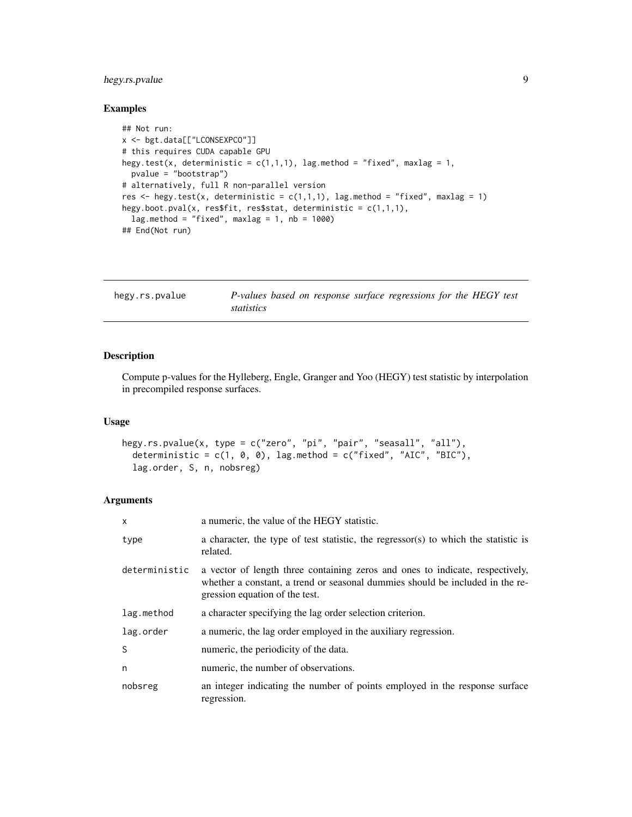## <span id="page-8-0"></span>hegy.rs.pvalue 9

## Examples

```
## Not run:
x <- bgt.data[["LCONSEXPCO"]]
# this requires CUDA capable GPU
hegy.test(x, deterministic = c(1,1,1), lag.method = "fixed", maxlag = 1,
  pvalue = "bootstrap")
# alternatively, full R non-parallel version
res <- hegy.test(x, deterministic = c(1,1,1), lag.method = "fixed", maxlag = 1)
hegy.boot.pval(x, res$fit, res$stat, deterministic = c(1,1,1),
  lag . method = "fixed", maxlag = 1, nb = 1000)## End(Not run)
```
<span id="page-8-1"></span>

| hegy.rs.pvalue | P-values based on response surface regressions for the HEGY test |  |  |  |
|----------------|------------------------------------------------------------------|--|--|--|
|                | statistics                                                       |  |  |  |

## Description

Compute p-values for the Hylleberg, Engle, Granger and Yoo (HEGY) test statistic by interpolation in precompiled response surfaces.

## Usage

```
hegy.rs.pvalue(x, type = c("zero", "pi", "pair", "seasall", "all"),
  deterministic = c(1, 0, 0), lag.method = c("fixed", "AIC", "BIC"),lag.order, S, n, nobsreg)
```
## Arguments

| $\mathsf{x}$  | a numeric, the value of the HEGY statistic.                                                                                                                                                      |
|---------------|--------------------------------------------------------------------------------------------------------------------------------------------------------------------------------------------------|
| type          | a character, the type of test statistic, the regressor(s) to which the statistic is<br>related.                                                                                                  |
| deterministic | a vector of length three containing zeros and ones to indicate, respectively,<br>whether a constant, a trend or seasonal dummies should be included in the re-<br>gression equation of the test. |
| lag.method    | a character specifying the lag order selection criterion.                                                                                                                                        |
| lag.order     | a numeric, the lag order employed in the auxiliary regression.                                                                                                                                   |
| <sub>S</sub>  | numeric, the periodicity of the data.                                                                                                                                                            |
| n             | numeric, the number of observations.                                                                                                                                                             |
| nobsreg       | an integer indicating the number of points employed in the response surface<br>regression.                                                                                                       |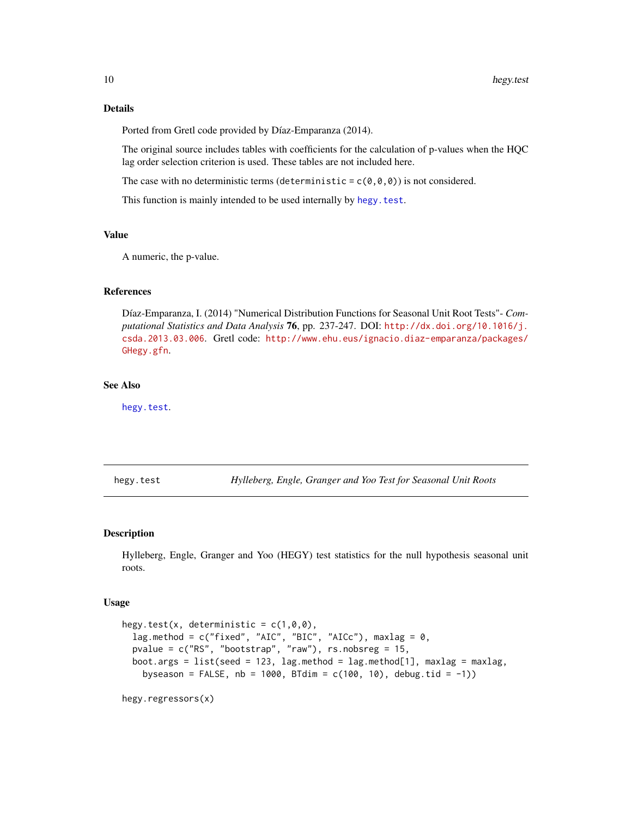## <span id="page-9-0"></span>Details

Ported from Gretl code provided by Díaz-Emparanza (2014).

The original source includes tables with coefficients for the calculation of p-values when the HQC lag order selection criterion is used. These tables are not included here.

The case with no deterministic terms (deterministic =  $c(\theta, \theta, \theta)$ ) is not considered.

This function is mainly intended to be used internally by [hegy.test](#page-9-1).

## Value

A numeric, the p-value.

#### References

Díaz-Emparanza, I. (2014) "Numerical Distribution Functions for Seasonal Unit Root Tests"- *Computational Statistics and Data Analysis* 76, pp. 237-247. DOI: [http://dx.doi.org/10.1016/j.](http://dx.doi.org/10.1016/j.csda.2013.03.006) [csda.2013.03.006](http://dx.doi.org/10.1016/j.csda.2013.03.006). Gretl code: [http://www.ehu.eus/ignacio.diaz-emparanza/packages/](http://www.ehu.eus/ignacio.diaz-emparanza/packages/GHegy.gfn) [GHegy.gfn](http://www.ehu.eus/ignacio.diaz-emparanza/packages/GHegy.gfn).

## See Also

[hegy.test](#page-9-1).

<span id="page-9-1"></span>hegy.test *Hylleberg, Engle, Granger and Yoo Test for Seasonal Unit Roots*

#### Description

Hylleberg, Engle, Granger and Yoo (HEGY) test statistics for the null hypothesis seasonal unit roots.

#### Usage

```
hegy.test(x, deterministic = c(1,0,0),
  lag.method = c("fixed", "AIC", "BIC", "AICc"), maxlag = 0,
  pvalue = c("RS", "bootstrap", "raw"), rs.nobsreg = 15,
 boot.args = list(seed = 123, lag.method = lag.method[1], maxlag = maxlag,
   byseason = FALSE, nb = 1000, BTdim = c(100, 10), debug.tid = -1))
```
hegy.regressors(x)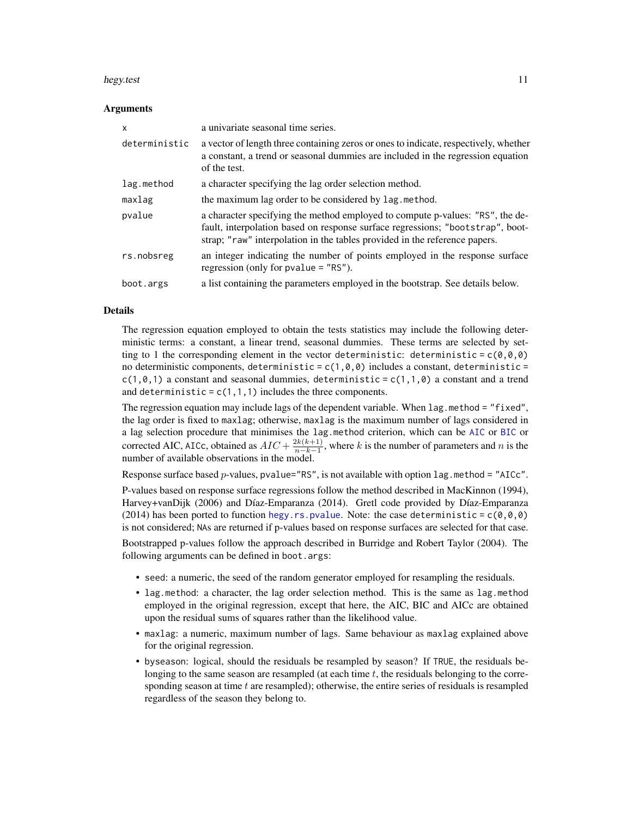#### <span id="page-10-0"></span>hegy.test 11

#### Arguments

| $\mathsf{x}$  | a univariate seasonal time series.                                                                                                                                                                                                            |
|---------------|-----------------------------------------------------------------------------------------------------------------------------------------------------------------------------------------------------------------------------------------------|
| deterministic | a vector of length three containing zeros or ones to indicate, respectively, whether<br>a constant, a trend or seasonal dummies are included in the regression equation<br>of the test.                                                       |
| lag.method    | a character specifying the lag order selection method.                                                                                                                                                                                        |
| maxlag        | the maximum lag order to be considered by lag method.                                                                                                                                                                                         |
| pvalue        | a character specifying the method employed to compute p-values: "RS", the de-<br>fault, interpolation based on response surface regressions; "bootstrap", boot-<br>strap; "raw" interpolation in the tables provided in the reference papers. |
| rs.nobsreg    | an integer indicating the number of points employed in the response surface<br>regression (only for $pvalue = "RS")$ .                                                                                                                        |
| boot.args     | a list containing the parameters employed in the bootstrap. See details below.                                                                                                                                                                |

#### Details

The regression equation employed to obtain the tests statistics may include the following deterministic terms: a constant, a linear trend, seasonal dummies. These terms are selected by setting to 1 the corresponding element in the vector deterministic: deterministic =  $c(\theta, \theta, \theta)$ no deterministic components, deterministic =  $c(1,0,0)$  includes a constant, deterministic =  $c(1,0,1)$  a constant and seasonal dummies, deterministic =  $c(1,1,0)$  a constant and a trend and deterministic =  $c(1,1,1)$  includes the three components.

The regression equation may include lags of the dependent variable. When lag.method = "fixed", the lag order is fixed to maxlag; otherwise, maxlag is the maximum number of lags considered in a lag selection procedure that minimises the lag.method criterion, which can be [AIC](#page-0-0) or [BIC](#page-0-0) or corrected AIC, AICc, obtained as  $AIC + \frac{2k(k+1)}{n-k-1}$  $\frac{2k(k+1)}{n-k-1}$ , where k is the number of parameters and n is the number of available observations in the model.

Response surface based  $p$ -values, pvalue="RS", is not available with option lag.method = "AICc".

P-values based on response surface regressions follow the method described in MacKinnon (1994), Harvey+vanDijk (2006) and Díaz-Emparanza (2014). Gretl code provided by Díaz-Emparanza (2014) has been ported to function [hegy.rs.pvalue](#page-8-1). Note: the case deterministic =  $c(\theta, \theta, \theta)$ is not considered; NAs are returned if p-values based on response surfaces are selected for that case.

Bootstrapped p-values follow the approach described in Burridge and Robert Taylor (2004). The following arguments can be defined in boot.args:

- seed: a numeric, the seed of the random generator employed for resampling the residuals.
- lag.method: a character, the lag order selection method. This is the same as lag.method employed in the original regression, except that here, the AIC, BIC and AICc are obtained upon the residual sums of squares rather than the likelihood value.
- maxlag: a numeric, maximum number of lags. Same behaviour as maxlag explained above for the original regression.
- byseason: logical, should the residuals be resampled by season? If TRUE, the residuals belonging to the same season are resampled (at each time  $t$ , the residuals belonging to the corresponding season at time  $t$  are resampled); otherwise, the entire series of residuals is resampled regardless of the season they belong to.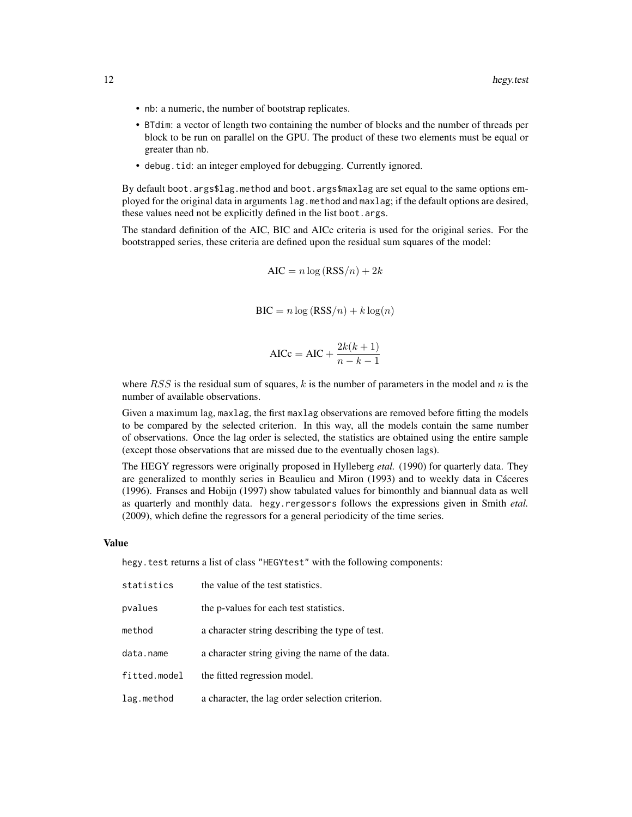- nb: a numeric, the number of bootstrap replicates.
- BTdim: a vector of length two containing the number of blocks and the number of threads per block to be run on parallel on the GPU. The product of these two elements must be equal or greater than nb.
- debug.tid: an integer employed for debugging. Currently ignored.

By default boot.args\$lag.method and boot.args\$maxlag are set equal to the same options employed for the original data in arguments lag.method and maxlag; if the default options are desired, these values need not be explicitly defined in the list boot.args.

The standard definition of the AIC, BIC and AICc criteria is used for the original series. For the bootstrapped series, these criteria are defined upon the residual sum squares of the model:

$$
AIC = n \log (RSS/n) + 2k
$$

$$
BIC = n \log (RSS/n) + k \log(n)
$$

$$
AICc = AIC + \frac{2k(k+1)}{n-k-1}
$$

where  $RSS$  is the residual sum of squares, k is the number of parameters in the model and n is the number of available observations.

Given a maximum lag, maxlag, the first maxlag observations are removed before fitting the models to be compared by the selected criterion. In this way, all the models contain the same number of observations. Once the lag order is selected, the statistics are obtained using the entire sample (except those observations that are missed due to the eventually chosen lags).

The HEGY regressors were originally proposed in Hylleberg *etal.* (1990) for quarterly data. They are generalized to monthly series in Beaulieu and Miron (1993) and to weekly data in Cáceres (1996). Franses and Hobijn (1997) show tabulated values for bimonthly and biannual data as well as quarterly and monthly data. hegy.rergessors follows the expressions given in Smith *etal.* (2009), which define the regressors for a general periodicity of the time series.

#### Value

hegy.test returns a list of class "HEGYtest" with the following components:

| statistics   | the value of the test statistics.               |
|--------------|-------------------------------------------------|
| pvalues      | the p-values for each test statistics.          |
| method       | a character string describing the type of test. |
| data.name    | a character string giving the name of the data. |
| fitted.model | the fitted regression model.                    |
| lag.method   | a character, the lag order selection criterion. |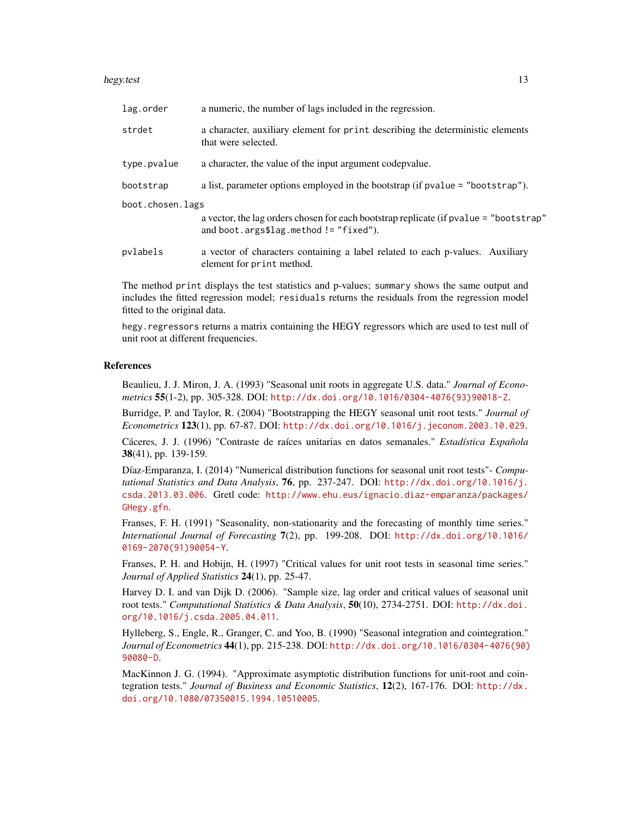#### hegy.test 13

| lag.order        | a numeric, the number of lags included in the regression.                                                                         |  |  |  |  |  |
|------------------|-----------------------------------------------------------------------------------------------------------------------------------|--|--|--|--|--|
| strdet           | a character, auxiliary element for print describing the deterministic elements<br>that were selected.                             |  |  |  |  |  |
| type.pvalue      | a character, the value of the input argument codepvalue.                                                                          |  |  |  |  |  |
| bootstrap        | a list, parameter options employed in the bootstrap (if pvalue = "bootstrap").                                                    |  |  |  |  |  |
| boot.chosen.lags |                                                                                                                                   |  |  |  |  |  |
|                  | a vector, the lag orders chosen for each bootstrap replicate (if pvalue = "bootstrap"<br>and boot.args\$lag.method! $=$ "fixed"). |  |  |  |  |  |
| pvlabels         | a vector of characters containing a label related to each p-values. Auxiliary<br>element for print method.                        |  |  |  |  |  |

The method print displays the test statistics and p-values; summary shows the same output and includes the fitted regression model; residuals returns the residuals from the regression model fitted to the original data.

hegy. regressors returns a matrix containing the HEGY regressors which are used to test null of unit root at different frequencies.

#### References

Beaulieu, J. J. Miron, J. A. (1993) "Seasonal unit roots in aggregate U.S. data." *Journal of Econometrics* 55(1-2), pp. 305-328. DOI: [http://dx.doi.org/10.1016/0304-4076\(93\)90018-Z](http://dx.doi.org/10.1016/0304-4076(93)90018-Z).

Burridge, P. and Taylor, R. (2004) "Bootstrapping the HEGY seasonal unit root tests." *Journal of Econometrics* 123(1), pp. 67-87. DOI: <http://dx.doi.org/10.1016/j.jeconom.2003.10.029>.

Cáceres, J. J. (1996) "Contraste de raíces unitarias en datos semanales." *Estadística Española* 38(41), pp. 139-159.

Díaz-Emparanza, I. (2014) "Numerical distribution functions for seasonal unit root tests"- *Computational Statistics and Data Analysis*, 76, pp. 237-247. DOI: [http://dx.doi.org/10.1016/j.](http://dx.doi.org/10.1016/j.csda.2013.03.006) [csda.2013.03.006](http://dx.doi.org/10.1016/j.csda.2013.03.006). Gretl code: [http://www.ehu.eus/ignacio.diaz-emparanza/packages/](http://www.ehu.eus/ignacio.diaz-emparanza/packages/GHegy.gfn) [GHegy.gfn](http://www.ehu.eus/ignacio.diaz-emparanza/packages/GHegy.gfn).

Franses, F. H. (1991) "Seasonality, non-stationarity and the forecasting of monthly time series." *International Journal of Forecasting* 7(2), pp. 199-208. DOI: [http://dx.doi.org/10.1016/](http://dx.doi.org/10.1016/0169-2070(91)90054-Y) [0169-2070\(91\)90054-Y](http://dx.doi.org/10.1016/0169-2070(91)90054-Y).

Franses, P. H. and Hobijn, H. (1997) "Critical values for unit root tests in seasonal time series." *Journal of Applied Statistics* 24(1), pp. 25-47.

Harvey D. I. and van Dijk D. (2006). "Sample size, lag order and critical values of seasonal unit root tests." *Computational Statistics & Data Analysis*, 50(10), 2734-2751. DOI: [http://dx.doi.](http://dx.doi.org/10.1016/j.csda.2005.04.011) [org/10.1016/j.csda.2005.04.011](http://dx.doi.org/10.1016/j.csda.2005.04.011).

Hylleberg, S., Engle, R., Granger, C. and Yoo, B. (1990) "Seasonal integration and cointegration." *Journal of Econometrics* 44(1), pp. 215-238. DOI: [http://dx.doi.org/10.1016/0304-4076\(90\)](http://dx.doi.org/10.1016/0304-4076(90)90080-D) [90080-D](http://dx.doi.org/10.1016/0304-4076(90)90080-D).

MacKinnon J. G. (1994). "Approximate asymptotic distribution functions for unit-root and cointegration tests." *Journal of Business and Economic Statistics*, 12(2), 167-176. DOI: [http://dx.](http://dx.doi.org/10.1080/07350015.1994.10510005) [doi.org/10.1080/07350015.1994.10510005](http://dx.doi.org/10.1080/07350015.1994.10510005).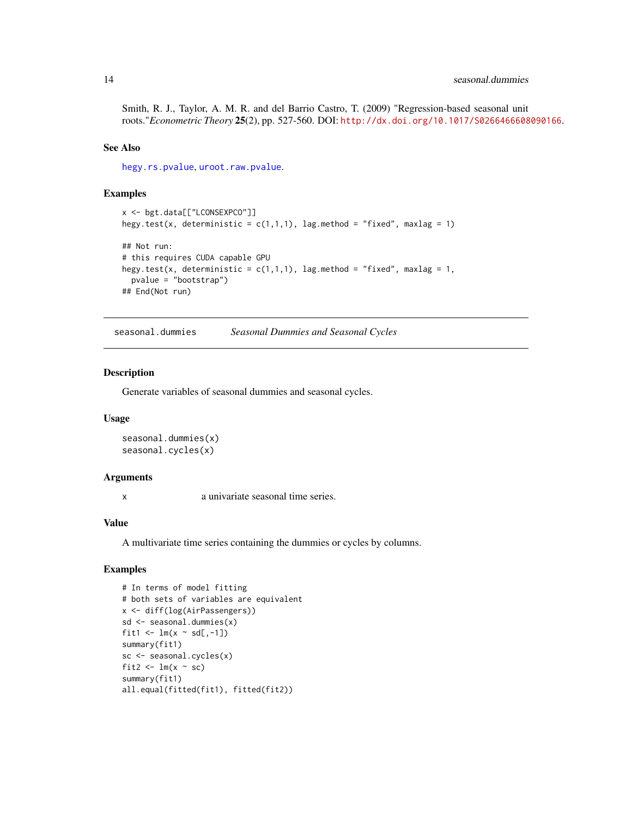## <span id="page-13-0"></span>14 seasonal.dummies

Smith, R. J., Taylor, A. M. R. and del Barrio Castro, T. (2009) "Regression-based seasonal unit roots."*Econometric Theory* 25(2), pp. 527-560. DOI: <http://dx.doi.org/10.1017/S0266466608090166>.

## See Also

[hegy.rs.pvalue](#page-8-1), [uroot.raw.pvalue](#page-14-1).

## Examples

```
x <- bgt.data[["LCONSEXPCO"]]
hegy.test(x, deterministic = c(1,1,1), lag.method = "fixed", maxlag = 1)
## Not run:
# this requires CUDA capable GPU
hegy.test(x, deterministic = c(1,1,1), lag.method = "fixed", maxlag = 1,
  pvalue = "bootstrap")
## End(Not run)
```
<span id="page-13-2"></span>seasonal.dummies *Seasonal Dummies and Seasonal Cycles*

## <span id="page-13-1"></span>Description

Generate variables of seasonal dummies and seasonal cycles.

#### Usage

```
seasonal.dummies(x)
seasonal.cycles(x)
```
#### Arguments

x a univariate seasonal time series.

## Value

A multivariate time series containing the dummies or cycles by columns.

## Examples

```
# In terms of model fitting
# both sets of variables are equivalent
x <- diff(log(AirPassengers))
sd <- seasonal.dummies(x)
fit1 \leftarrow lm(x \sim sd[,-1])
summary(fit1)
sc <- seasonal.cycles(x)
fit2 \leftarrow lm(x \sim sc)
summary(fit1)
all.equal(fitted(fit1), fitted(fit2))
```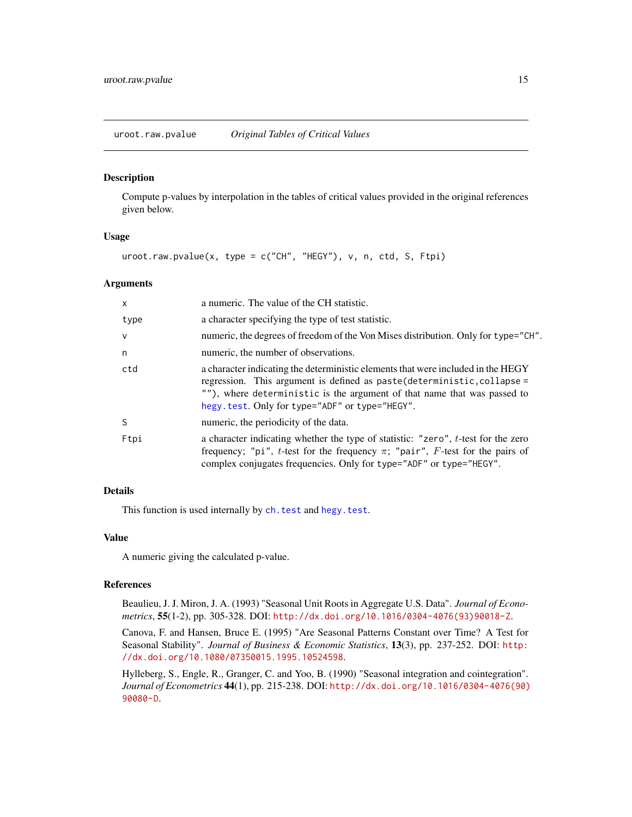<span id="page-14-1"></span><span id="page-14-0"></span>uroot.raw.pvalue *Original Tables of Critical Values*

#### Description

Compute p-values by interpolation in the tables of critical values provided in the original references given below.

## Usage

uroot.raw.pvalue(x, type = c("CH", "HEGY"), v, n, ctd, S, Ftpi)

## Arguments

| X      | a numeric. The value of the CH statistic.                                                                                                                                                                                                                                                  |
|--------|--------------------------------------------------------------------------------------------------------------------------------------------------------------------------------------------------------------------------------------------------------------------------------------------|
| type   | a character specifying the type of test statistic.                                                                                                                                                                                                                                         |
| $\vee$ | numeric, the degrees of freedom of the Von Mises distribution. Only for type="CH".                                                                                                                                                                                                         |
| n      | numeric, the number of observations.                                                                                                                                                                                                                                                       |
| ctd    | a character indicating the deterministic elements that were included in the HEGY<br>regression. This argument is defined as paste (deterministic, collapse =<br>""), where deterministic is the argument of that name that was passed to<br>hegy.test. Only for type="ADF" or type="HEGY". |
| S      | numeric, the periodicity of the data.                                                                                                                                                                                                                                                      |
| Ftpi   | a character indicating whether the type of statistic: "zero", t-test for the zero<br>frequency; "pi", t-test for the frequency $\pi$ ; "pair", F-test for the pairs of<br>complex conjugates frequencies. Only for type="ADF" or type="HEGY".                                              |

## Details

This function is used internally by [ch.test](#page-4-1) and [hegy.test](#page-9-1).

#### Value

A numeric giving the calculated p-value.

#### References

Beaulieu, J. J. Miron, J. A. (1993) "Seasonal Unit Roots in Aggregate U.S. Data". *Journal of Econometrics*, 55(1-2), pp. 305-328. DOI: [http://dx.doi.org/10.1016/0304-4076\(93\)90018-Z](http://dx.doi.org/10.1016/0304-4076(93)90018-Z).

Canova, F. and Hansen, Bruce E. (1995) "Are Seasonal Patterns Constant over Time? A Test for Seasonal Stability". *Journal of Business & Economic Statistics*, 13(3), pp. 237-252. DOI: [http:](http://dx.doi.org/10.1080/07350015.1995.10524598) [//dx.doi.org/10.1080/07350015.1995.10524598](http://dx.doi.org/10.1080/07350015.1995.10524598).

Hylleberg, S., Engle, R., Granger, C. and Yoo, B. (1990) "Seasonal integration and cointegration". *Journal of Econometrics* 44(1), pp. 215-238. DOI: [http://dx.doi.org/10.1016/0304-4076\(90\)](http://dx.doi.org/10.1016/0304-4076(90)90080-D) [90080-D](http://dx.doi.org/10.1016/0304-4076(90)90080-D).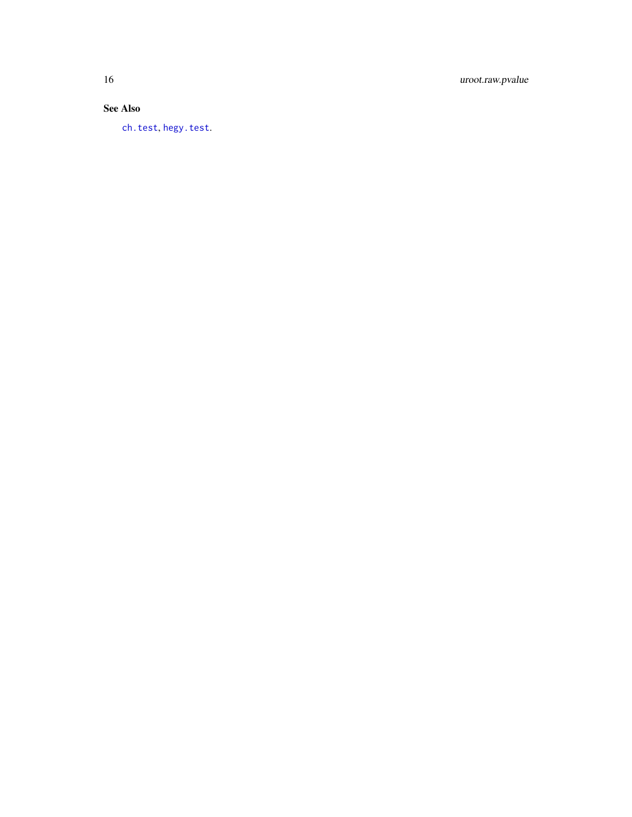<span id="page-15-0"></span>16 uroot.raw.pvalue

## See Also

[ch.test](#page-4-1) , [hegy.test](#page-9-1) .